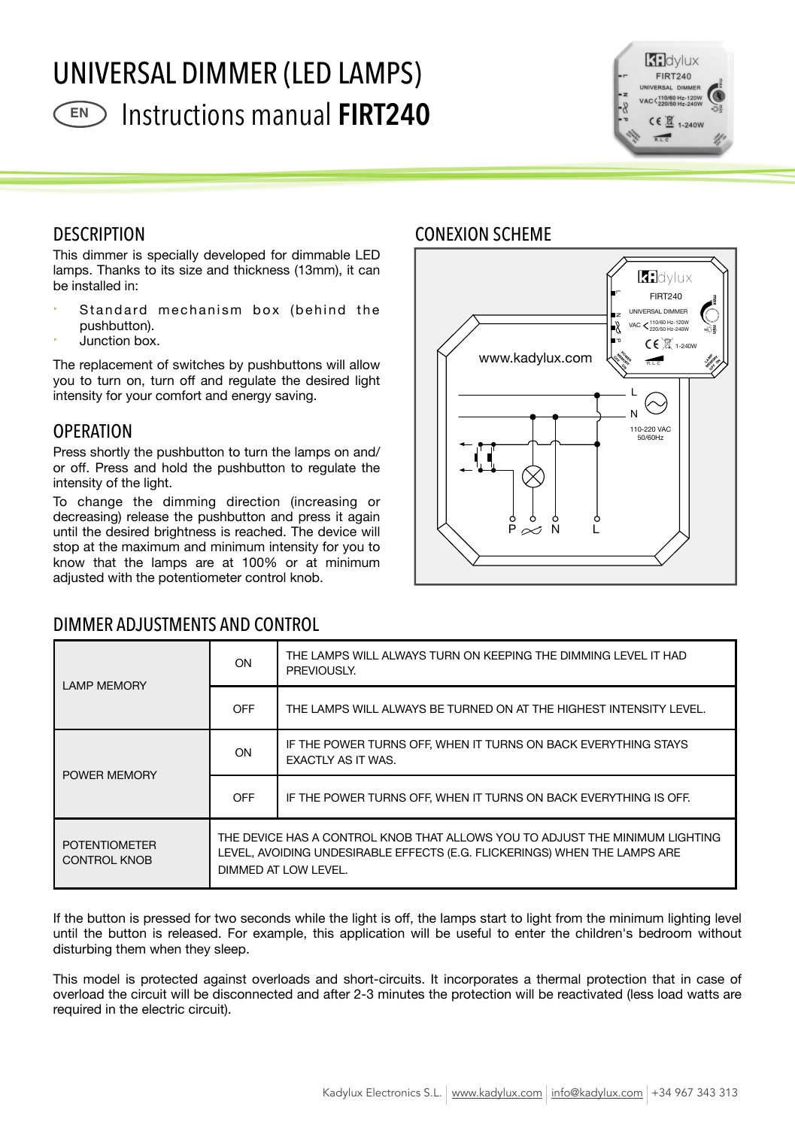# UNIVERSAL DIMMER (LED LAMPS) Instructions manual **FIRT240 EN**



### **DESCRIPTION** ESCRIPTION **ESPECIFICACIONES TÉCNICAS CONEXION** SCHEME



decreasing) release the pushbutton and press it again until the desired brightness is reached. The device will stop at the maximum and minimum intensity for you to know that the lamps are at 100% or at minimum adjusted with the potentiometer control knob. **Discussed and property and property** 

## DIMMER ADJUSTMENTS AND CONTROL

### **K:** dvlux FIRT240 L **max** UNIVERSAL DIMMER N VAC 110/60 Hz-120W 220/50 Hz-240W **min**  $CE \times 1-240W$ P www.kadylux.com **POWER MEMORY LAMP OFF ON MEMORY**  $\mathcal{E}_\mathcal{S}$ R. L. CL  $\overline{\phantom{a}}$ 110-220 VAC 5W **RoHS**  $+ +$ LED  $\downarrow$  $\mathsf{P} \mathrel{\approx} \mathsf{N}$  L

| <b>LAMP MEMORY</b>                          | ON                                                                                                                                                                                                                  | THE LAMPS WILL ALWAYS TURN ON KEEPING THE DIMMING LEVEL IT HAD<br>PREVIOUSLY. |  |
|---------------------------------------------|---------------------------------------------------------------------------------------------------------------------------------------------------------------------------------------------------------------------|-------------------------------------------------------------------------------|--|
|                                             | OFF                                                                                                                                                                                                                 | THE LAMPS WILL ALWAYS BE TURNED ON AT THE HIGHEST INTENSITY LEVEL.            |  |
| POWER MEMORY                                | ON<br>3.9                                                                                                                                                                                                           | S OFf<br>CK E<br>1.0<br>1.0                                                   |  |
|                                             | 0.6<br>OFF<br>0.4                                                                                                                                                                                                   | 0.6<br>1.6<br>S OFF<br>CK E                                                   |  |
| <b>POTENTIOMETER</b><br><b>CONTROL KNOB</b> | يَّة الله DEV الله عن الله الله عنه الله عنه الله عنه الله عنه الله عنه الله عنه الله عنه الله عنه ال الله عنه<br>LEVEL, AVOIDING UNDESIRABLE EFFECTS (E.G. FLICKERINGS) WHEN THE LAMPS ARE<br>DIMMED AT LOW LEVEL. |                                                                               |  |

If the button is pressed for two seconds while the light is off, the lamps start to light from the minimum lighting level until the button is released. For example, this application will be useful to enter the children's bedroom without **REGULABLE** SI disturbing them when they sleep. **FACTOR DESCRIPTION & POSTAGE** 

This model is protected against overloads and short-circuits. It incorporates a thermal protection that in case of overload the circuit will be disconnected and after 2-3 minutes the protection will be reactivated (less load watts are required in the electric circuit).